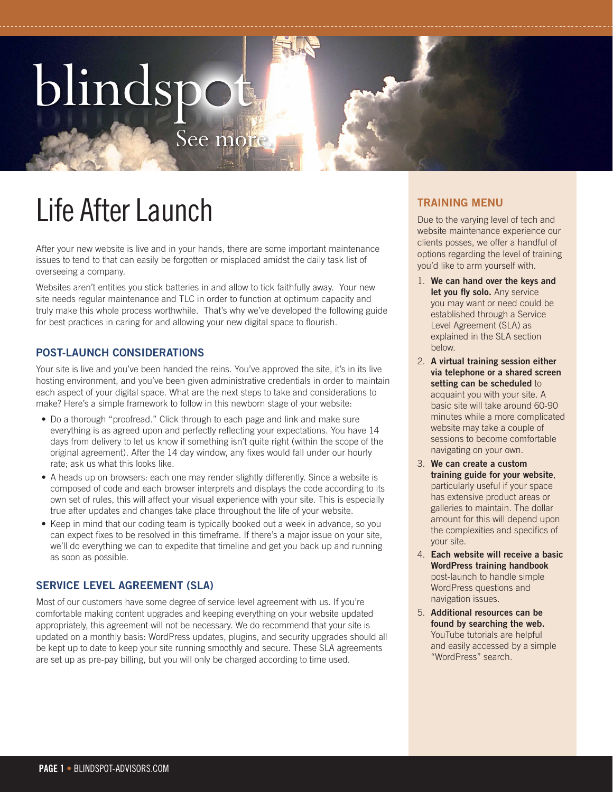# blindspot



After your new website is live and in your hands, there are some important maintenance issues to tend to that can easily be forgotten or misplaced amidst the daily task list of overseeing a company.

See more

Websites aren't entities you stick batteries in and allow to tick faithfully away. Your new site needs regular maintenance and TLC in order to function at optimum capacity and truly make this whole process worthwhile. That's why we've developed the following guide for best practices in caring for and allowing your new digital space to flourish.

# **POST-LAUNCH CONSIDERATIONS**

Your site is live and you've been handed the reins. You've approved the site, it's in its live hosting environment, and you've been given administrative credentials in order to maintain each aspect of your digital space. What are the next steps to take and considerations to make? Here's a simple framework to follow in this newborn stage of your website:

- Do a thorough "proofread." Click through to each page and link and make sure everything is as agreed upon and perfectly reflecting your expectations. You have 14 days from delivery to let us know if something isn't quite right (within the scope of the original agreement). After the 14 day window, any fixes would fall under our hourly rate; ask us what this looks like.
- A heads up on browsers: each one may render slightly differently. Since a website is composed of code and each browser interprets and displays the code according to its own set of rules, this will affect your visual experience with your site. This is especially true after updates and changes take place throughout the life of your website.
- Keep in mind that our coding team is typically booked out a week in advance, so you can expect fixes to be resolved in this timeframe. If there's a major issue on your site, we'll do everything we can to expedite that timeline and get you back up and running as soon as possible.

# **SERVICE LEVEL AGREEMENT (SLA)**

Most of our customers have some degree of service level agreement with us. If you're comfortable making content upgrades and keeping everything on your website updated appropriately, this agreement will not be necessary. We do recommend that your site is updated on a monthly basis: WordPress updates, plugins, and security upgrades should all be kept up to date to keep your site running smoothly and secure. These SLA agreements are set up as pre-pay billing, but you will only be charged according to time used.

Due to the varying level of tech and website maintenance experience our clients posses, we offer a handful of options regarding the level of training you'd like to arm yourself with.

- 1. **We can hand over the keys and let you fly solo.** Any service you may want or need could be established through a Service Level Agreement (SLA) as explained in the SLA section below.
- 2. **A virtual training session either via telephone or a shared screen setting can be scheduled** to acquaint you with your site. A basic site will take around 60-90 minutes while a more complicated website may take a couple of sessions to become comfortable navigating on your own.
- 3. **We can create a custom training guide for your website**, particularly useful if your space has extensive product areas or galleries to maintain. The dollar amount for this will depend upon the complexities and specifics of your site.
- 4. **Each website will receive a basic WordPress training handbook** post-launch to handle simple WordPress questions and navigation issues.
- 5. **Additional resources can be found by searching the web.** YouTube tutorials are helpful and easily accessed by a simple "WordPress" search.